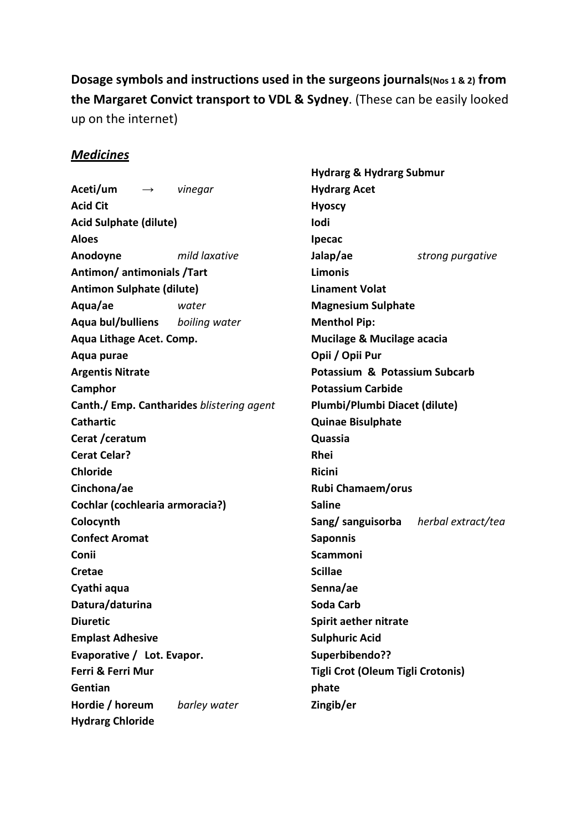# **Dosage symbols and instructions used in the surgeons journals(Nos 1 & 2) from the Margaret Convict transport to VDL & Sydney**. (These can be easily looked up on the internet)

### *Medicines*

**Aceti/um** *→ vinegar*  **Acid Cit Acid Sulphate (dilute) Aloes Anodoyne** *mild laxative*  **Antimon/ antimonials /Tart Antimon Sulphate (dilute) Aqua/ae** *water*  **Aqua bul/bulliens** *boiling water* **Aqua Lithage Acet. Comp. Aqua purae Argentis Nitrate Camphor Canth./ Emp. Cantharides** *blistering agent* **Cathartic Cerat /ceratum Cerat Celar? Chloride Cinchona/ae Cochlar (cochlearia armoracia?) Colocynth Confect Aromat Conii Cretae Cyathi aqua Datura/daturina Diuretic Emplast Adhesive Evaporative / Lot. Evapor. Ferri & Ferri Mur Gentian Hordie / horeum** *barley water*  **Hydrarg Chloride** 

**Hydrarg & Hydrarg Submur Hydrarg Acet Hyoscy Iodi Ipecac Jalap/ae** *strong purgative*  **Limonis Linament Volat Magnesium Sulphate Menthol Pip: Mucilage & Mucilage acacia Opii / Opii Pur Potassium & Potassium Subcarb Potassium Carbide Plumbi/Plumbi Diacet (dilute) Quinae Bisulphate Quassia Rhei Ricini Rubi Chamaem/orus Saline Sang/ sanguisorba** *herbal extract/tea*  **Saponnis Scammoni Scillae Senna/ae Soda Carb Spirit aether nitrate Sulphuric Acid Superbibendo?? Tigli Crot (Oleum Tigli Crotonis) phate Zingib/er**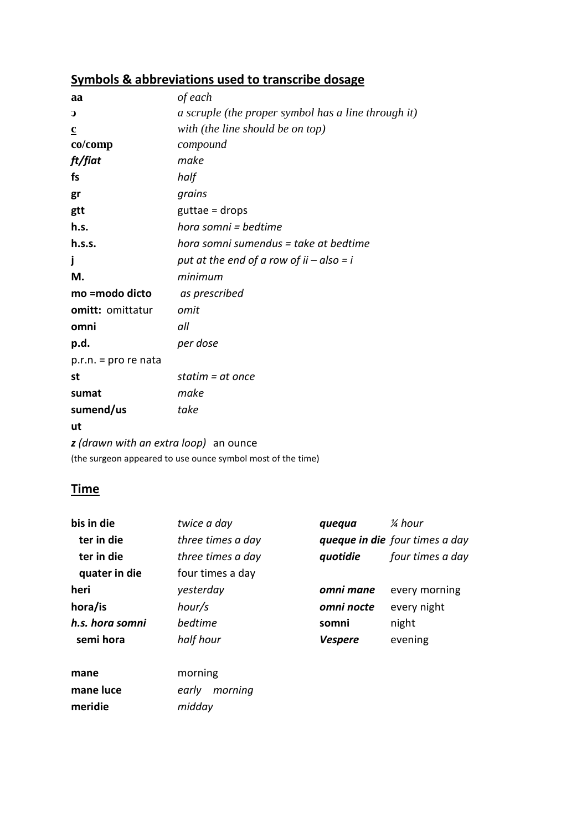# **Symbols & abbreviations used to transcribe dosage**

| aa                                    | of each                                             |
|---------------------------------------|-----------------------------------------------------|
| $\mathbf{C}$                          | a scruple (the proper symbol has a line through it) |
| $\underline{\mathbf{c}}$              | with (the line should be on top)                    |
| co/comp                               | compound                                            |
| ft/fiat                               | make                                                |
| fs                                    | half                                                |
| gr                                    | grains                                              |
| gtt                                   | $g$ uttae = drops                                   |
| h.s.                                  | hora somni = bedtime                                |
| h.s.s.                                | hora somni sumendus = take at bedtime               |
| Ĵ                                     | put at the end of a row of $ii - also = i$          |
| М.                                    | minimum                                             |
| mo =modo dicto                        | as prescribed                                       |
| omitt: omittatur                      | omit                                                |
| omni                                  | all                                                 |
| p.d.                                  | per dose                                            |
| $p.r.n. = pro re nata$                |                                                     |
| st                                    | statim = $at$ once                                  |
| sumat                                 | make                                                |
| sumend/us                             | take                                                |
| ut                                    |                                                     |
| z (drawn with an extra loop) an ounce |                                                     |

(the surgeon appeared to use ounce symbol most of the time)

### **Time**

| bis in die      | twice a day       | quequa         | 1⁄4 hour                       |
|-----------------|-------------------|----------------|--------------------------------|
| ter in die      | three times a day |                | queque in die four times a day |
| ter in die      | three times a day | quotidie       | four times a day               |
| quater in die   | four times a day  |                |                                |
| heri            | yesterday         | omni mane      | every morning                  |
| hora/is         | hour/s            | omni nocte     | every night                    |
| h.s. hora somni | hedtime           | somni          | night                          |
| semi hora       | half hour         | <b>Vespere</b> | evening                        |
| mane            | morning           |                |                                |
| mane luce       | morning<br>early  |                |                                |
| meridie         | midday            |                |                                |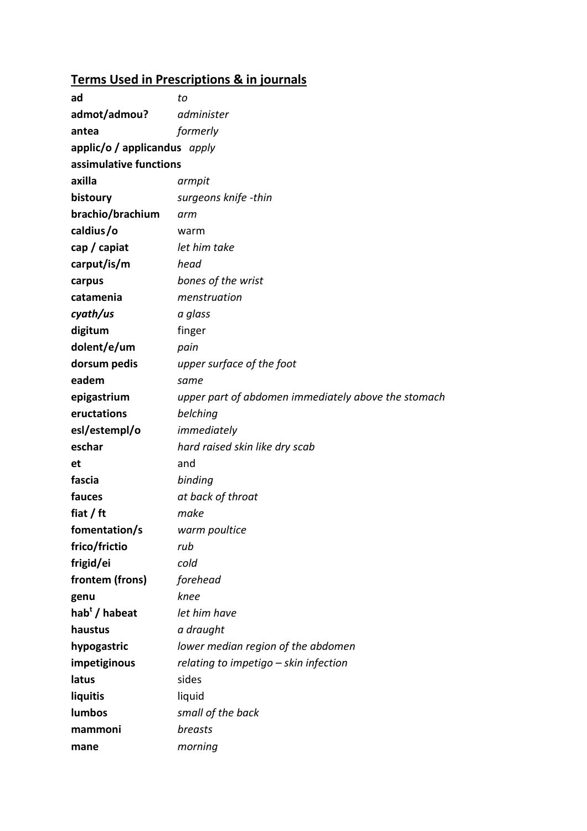# **Terms Used in Prescriptions & in journals**

| ad                           | to                                                  |
|------------------------------|-----------------------------------------------------|
| admot/admou?                 | administer                                          |
| antea                        | formerly                                            |
| applic/o / applicandus apply |                                                     |
| assimulative functions       |                                                     |
| axilla                       | armpit                                              |
| bistoury                     | surgeons knife -thin                                |
| brachio/brachium             | arm                                                 |
| caldius/o                    | warm                                                |
| cap / capiat                 | let him take                                        |
| carput/is/m                  | head                                                |
| carpus                       | bones of the wrist                                  |
| catamenia                    | menstruation                                        |
| cyath/us                     | a glass                                             |
| digitum                      | finger                                              |
| dolent/e/um                  | pain                                                |
| dorsum pedis                 | upper surface of the foot                           |
| eadem                        | same                                                |
| epigastrium                  | upper part of abdomen immediately above the stomach |
| eructations                  | belching                                            |
| esl/estempl/o                | immediately                                         |
| eschar                       | hard raised skin like dry scab                      |
| et                           | and                                                 |
| fascia                       | binding                                             |
| fauces                       | at back of throat                                   |
| fiat / $ft$                  | make                                                |
| fomentation/s                | warm poultice                                       |
| frico/frictio                | rub                                                 |
| frigid/ei                    | cold                                                |
| frontem (frons)              | forehead                                            |
| genu                         | knee                                                |
| hab <sup>t</sup> / habeat    | let him have                                        |
| haustus                      | a draught                                           |
| hypogastric                  | lower median region of the abdomen                  |
| impetiginous                 | relating to impetigo - skin infection               |
| latus                        | sides                                               |
| liquitis                     | liquid                                              |
| lumbos                       | small of the back                                   |
| mammoni                      | breasts                                             |
| mane                         | morning                                             |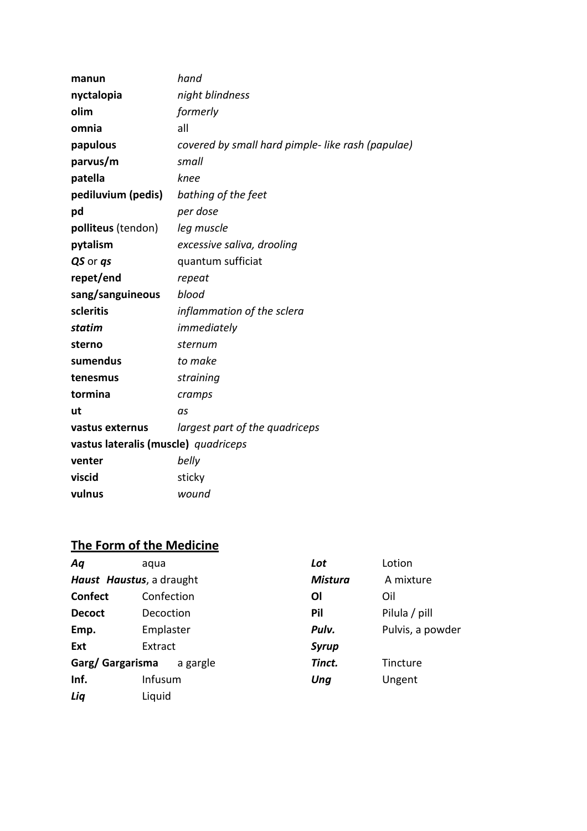| manun                                | hand                                             |
|--------------------------------------|--------------------------------------------------|
| nyctalopia                           | night blindness                                  |
| olim                                 | formerly                                         |
| omnia                                | all                                              |
| papulous                             | covered by small hard pimple-like rash (papulae) |
| parvus/m                             | small                                            |
| patella                              | knee                                             |
| pediluvium (pedis)                   | bathing of the feet                              |
| pd                                   | per dose                                         |
| polliteus (tendon)                   | leg muscle                                       |
| pytalism                             | excessive saliva, drooling                       |
| QS or qs                             | quantum sufficiat                                |
| repet/end                            | repeat                                           |
| sang/sanguineous                     | blood                                            |
| scleritis                            | inflammation of the sclera                       |
| statim                               | immediately                                      |
| sterno                               | sternum                                          |
| sumendus                             | to make                                          |
| tenesmus                             | straining                                        |
| tormina                              | cramps                                           |
| ut                                   | as                                               |
| vastus externus                      | largest part of the quadriceps                   |
| vastus lateralis (muscle) quadriceps |                                                  |
| venter                               | belly                                            |
| viscid                               | sticky                                           |
| vulnus                               | wound                                            |

# **The Form of the Medicine**

| Aq               | aqua                     | Lot            | Lotion           |
|------------------|--------------------------|----------------|------------------|
|                  | Haust Haustus, a draught | <b>Mistura</b> | A mixture        |
| <b>Confect</b>   | Confection               | Οl             | Oil              |
| <b>Decoct</b>    | Decoction                | Pil            | Pilula / pill    |
| Emp.             | Emplaster                | Pulv.          | Pulvis, a powder |
| Ext              | Extract                  | <b>Syrup</b>   |                  |
| Garg/ Gargarisma | a gargle                 | Tinct.         | Tincture         |
| Inf.             | Infusum                  | Ung            | Ungent           |
| Liq              | Liquid                   |                |                  |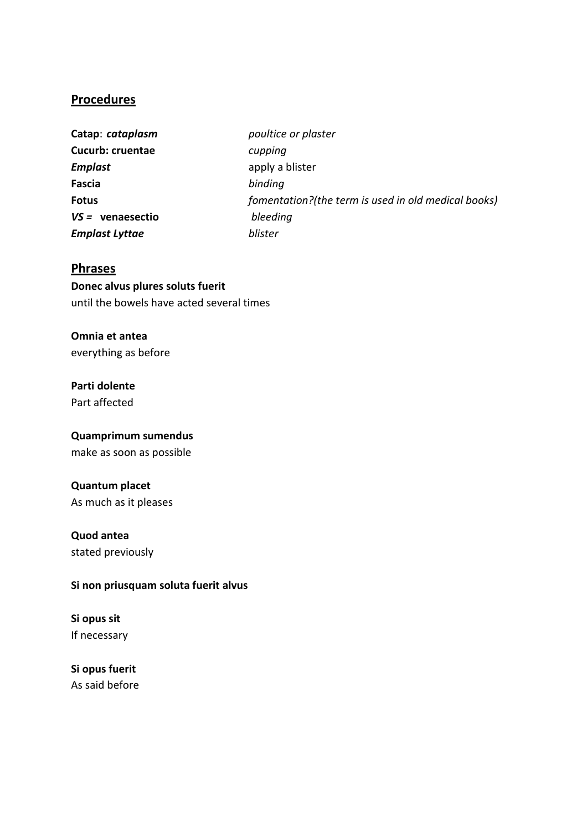### **Procedures**

| Catap: cataplasm        | poultice or plaster                                 |
|-------------------------|-----------------------------------------------------|
| <b>Cucurb: cruentae</b> | cupping                                             |
| Emplast                 | apply a blister                                     |
| Fascia                  | binding                                             |
| <b>Fotus</b>            | fomentation?(the term is used in old medical books) |
| $VS =$ venaesectio      | bleeding                                            |
| Emplast Lyttae          | blister                                             |

### **Phrases**

**Donec alvus plures soluts fuerit**  until the bowels have acted several times

**Omnia et antea**  everything as before

**Parti dolente**  Part affected

**Quamprimum sumendus**  make as soon as possible

**Quantum placet**  As much as it pleases

# **Quod antea**

stated previously

#### **Si non priusquam soluta fuerit alvus**

**Si opus sit**  If necessary

**Si opus fuerit**  As said before